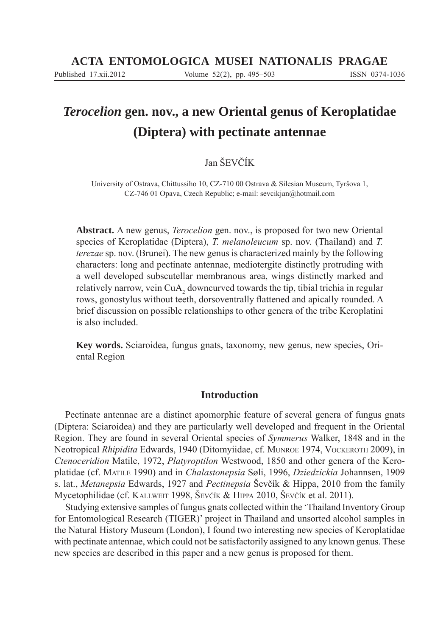# *Terocelion* **gen. nov., a new Oriental genus of Keroplatidae (Diptera) with pectinate antennae**

# Jan ŠEVČÍK

University of Ostrava, Chittussiho 10, CZ-710 00 Ostrava & Silesian Museum, Tyršova 1, CZ-746 01 Opava, Czech Republic; e-mail: sevcikjan@hotmail.com

**Abstract.** A new genus, *Terocelion* gen. nov., is proposed for two new Oriental species of Keroplatidae (Diptera), *T. melanoleucum* sp. nov. (Thailand) and *T. terezae* sp. nov. (Brunei). The new genus is characterized mainly by the following characters: long and pectinate antennae, mediotergite distinctly protruding with a well developed subscutellar membranous area, wings distinctly marked and relatively narrow, vein CuA<sub>2</sub> downcurved towards the tip, tibial trichia in regular rows, gonostylus without teeth, dorsoventrally flattened and apically rounded. A brief discussion on possible relationships to other genera of the tribe Keroplatini is also included.

**Key words.** Sciaroidea, fungus gnats, taxonomy, new genus, new species, Oriental Region

# **Introduction**

Pectinate antennae are a distinct apomorphic feature of several genera of fungus gnats (Diptera: Sciaroidea) and they are particularly well developed and frequent in the Oriental Region. They are found in several Oriental species of *Symmerus* Walker, 1848 and in the Neotropical *Rhipidita* Edwards, 1940 (Ditomyiidae, cf. MUNROE 1974, VOCKEROTH 2009), in *Ctenoceridion* Matile, 1972, *Platyroptilon* Westwood, 1850 and other genera of the Keroplatidae (cf. MATILE 1990) and in *Chalastonepsia* Søli, 1996, *Dziedzickia* Johannsen, 1909 s. lat., *Metanepsia* Edwards, 1927 and *Pectinepsia* Ševčík & Hippa, 2010 from the family Mycetophilidae (cf. KALLWEIT 1998, ŠEVČÍK & HIPPA 2010, ŠEVČÍK et al. 2011).

Studying extensive samples of fungus gnats collected within the 'Thailand Inventory Group for Entomological Research (TIGER)' project in Thailand and unsorted alcohol samples in the Natural History Museum (London), I found two interesting new species of Keroplatidae with pectinate antennae, which could not be satisfactorily assigned to any known genus. These new species are described in this paper and a new genus is proposed for them.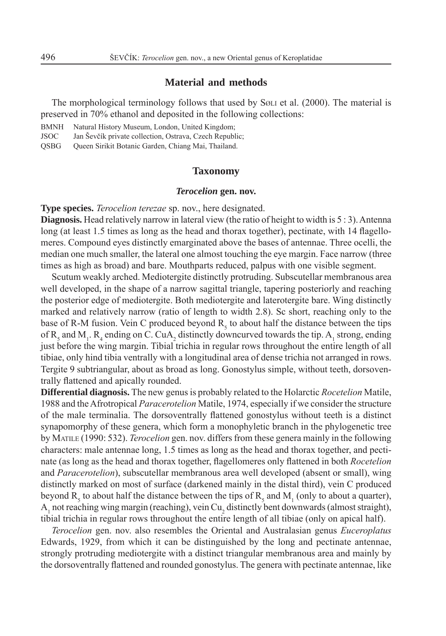# **Material and methods**

The morphological terminology follows that used by SØLI et al. (2000). The material is preserved in 70% ethanol and deposited in the following collections:

BMNH Natural History Museum, London, United Kingdom;

JSOC Jan Ševčík private collection, Ostrava, Czech Republic;

QSBG Queen Sirikit Botanic Garden, Chiang Mai, Thailand.

#### **Taxonomy**

#### *Terocelion* **gen. nov.**

**Type species.** *Terocelion terezae* sp. nov., here designated.

**Diagnosis.** Head relatively narrow in lateral view (the ratio of height to width is 5 : 3). Antenna long (at least 1.5 times as long as the head and thorax together), pectinate, with 14 flagellomeres. Compound eyes distinctly emarginated above the bases of antennae. Three ocelli, the median one much smaller, the lateral one almost touching the eye margin. Face narrow (three times as high as broad) and bare. Mouthparts reduced, palpus with one visible segment.

Scutum weakly arched. Mediotergite distinctly protruding. Subscutellar membranous area well developed, in the shape of a narrow sagittal triangle, tapering posteriorly and reaching the posterior edge of mediotergite. Both mediotergite and laterotergite bare. Wing distinctly marked and relatively narrow (ratio of length to width 2.8). Sc short, reaching only to the base of R-M fusion. Vein C produced beyond  $R_5$  to about half the distance between the tips of  $R_5$  and  $M_1$ .  $R_4$  ending on C. CuA<sub>2</sub> distinctly downcurved towards the tip. A<sub>1</sub> strong, ending just before the wing margin. Tibial trichia in regular rows throughout the entire length of all tibiae, only hind tibia ventrally with a longitudinal area of dense trichia not arranged in rows. Tergite 9 subtriangular, about as broad as long. Gonostylus simple, without teeth, dorsoventrally flattened and apically rounded.

**Differential diagnosis.** The new genus is probably related to the Holarctic *Rocetelion* Matile, 1988 and the Afrotropical *Paracerotelion* Matile, 1974, especially if we consider the structure of the male terminalia. The dorsoventrally flattened gonostylus without teeth is a distinct synapomorphy of these genera, which form a monophyletic branch in the phylogenetic tree by MATILE (1990: 532). *Terocelion* gen. nov. differs from these genera mainly in the following characters: male antennae long, 1.5 times as long as the head and thorax together, and pectinate (as long as the head and thorax together, flagellomeres only flattened in both *Rocetelion* and *Paracerotelion*), subscutellar membranous area well developed (absent or small), wing distinctly marked on most of surface (darkened mainly in the distal third), vein C produced beyond  $R_5$  to about half the distance between the tips of  $R_5$  and  $M_1$  (only to about a quarter),  $A_1$  not reaching wing margin (reaching), vein Cu<sub>2</sub> distinctly bent downwards (almost straight), tibial trichia in regular rows throughout the entire length of all tibiae (only on apical half).

*Terocelion* gen. nov. also resembles the Oriental and Australasian genus *Euceroplatus* Edwards, 1929, from which it can be distinguished by the long and pectinate antennae, strongly protruding mediotergite with a distinct triangular membranous area and mainly by the dorsoventrally flattened and rounded gonostylus. The genera with pectinate antennae, like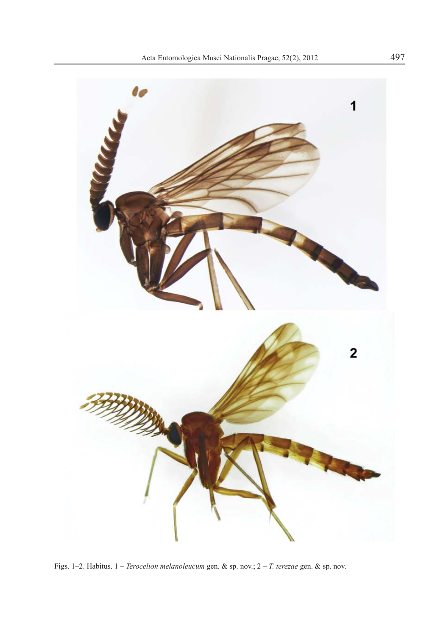

Figs. 1–2. Habitus. 1 – *Terocelion melanoleucum* gen. & sp. nov.; 2 – *T. terezae* gen. & sp. nov.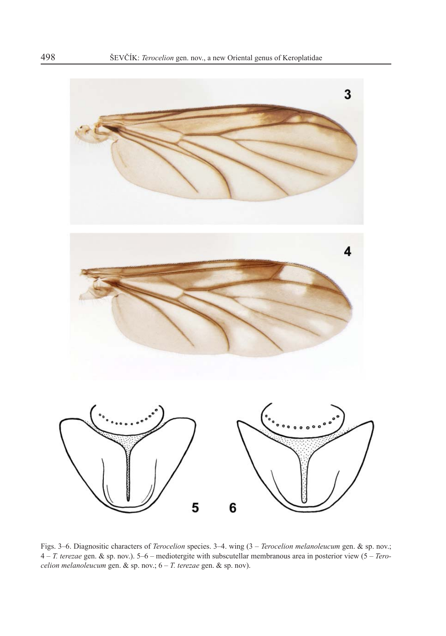

Figs. 3–6. Diagnositic characters of *Terocelion* species. 3–4. wing (3 – *Terocelion melanoleucum* gen. & sp. nov.; 4 – *T. terezae* gen. & sp. nov.). 5–6 – mediotergite with subscutellar membranous area in posterior view (5 – *Terocelion melanoleucum* gen. & sp. nov.; 6 – *T. terezae* gen. & sp. nov).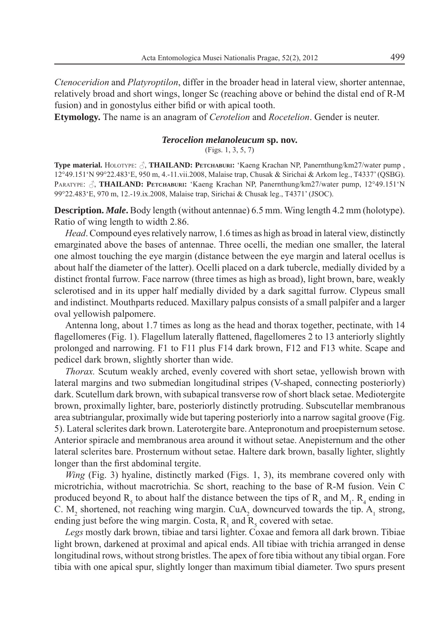*Ctenoceridion* and *Platyroptilon*, differ in the broader head in lateral view, shorter antennae, relatively broad and short wings, longer Sc (reaching above or behind the distal end of R-M fusion) and in gonostylus either bifid or with apical tooth.

**Etymology.** The name is an anagram of *Cerotelion* and *Rocetelion*. Gender is neuter.

#### *Terocelion melanoleucum* **sp. nov.**

(Figs. 1, 3, 5, 7)

**Type material.** HOLOTYPE:  $\beta$ , **THAILAND:** PETCHABURI: 'Kaeng Krachan NP, Panernthung/km27/water pump, 12°49.151'N 99°22.483'E, 950 m, 4.-11.vii.2008, Malaise trap, Chusak & Sirichai & Arkom leg., T4337' (QSBG). PARATYPE:  $\beta$ , **THAILAND: PETCHABURI:** 'Kaeng Krachan NP, Panernthung/km27/water pump, 12°49.151'N 99°22.483'E, 970 m, 12.-19.ix.2008, Malaise trap, Sirichai & Chusak leg., T4371' (JSOC).

**Description.** *Male***.** Body length (without antennae) 6.5 mm. Wing length 4.2 mm (holotype). Ratio of wing length to width 2.86.

*Head*. Compound eyes relatively narrow, 1.6 times as high as broad in lateral view, distinctly emarginated above the bases of antennae. Three ocelli, the median one smaller, the lateral one almost touching the eye margin (distance between the eye margin and lateral ocellus is about half the diameter of the latter). Ocelli placed on a dark tubercle, medially divided by a distinct frontal furrow. Face narrow (three times as high as broad), light brown, bare, weakly sclerotised and in its upper half medially divided by a dark sagittal furrow. Clypeus small and indistinct. Mouthparts reduced. Maxillary palpus consists of a small palpifer and a larger oval yellowish palpomere.

Antenna long, about 1.7 times as long as the head and thorax together, pectinate, with 14 flagellomeres (Fig. 1). Flagellum laterally flattened, flagellomeres 2 to 13 anteriorly slightly prolonged and narrowing. F1 to F11 plus F14 dark brown, F12 and F13 white. Scape and pedicel dark brown, slightly shorter than wide.

*Thorax.* Scutum weakly arched, evenly covered with short setae, yellowish brown with lateral margins and two submedian longitudinal stripes (V-shaped, connecting posteriorly) dark. Scutellum dark brown, with subapical transverse row of short black setae. Mediotergite brown, proximally lighter, bare, posteriorly distinctly protruding. Subscutellar membranous area subtriangular, proximally wide but tapering posteriorly into a narrow sagital groove (Fig. 5). Lateral sclerites dark brown. Laterotergite bare. Antepronotum and proepisternum setose. Anterior spiracle and membranous area around it without setae. Anepisternum and the other lateral sclerites bare. Prosternum without setae. Haltere dark brown, basally lighter, slightly longer than the first abdominal tergite.

*Wing* (Fig. 3) hyaline, distinctly marked (Figs. 1, 3), its membrane covered only with microtrichia, without macrotrichia. Sc short, reaching to the base of R-M fusion. Vein C produced beyond  $R_5$  to about half the distance between the tips of  $R_5$  and  $M_1$ .  $R_4$  ending in C.  $M_2$  shortened, not reaching wing margin. CuA<sub>2</sub> downcurved towards the tip. A<sub>1</sub> strong, ending just before the wing margin. Costa,  $R_1$  and  $R_5$  covered with setae.

*Legs* mostly dark brown, tibiae and tarsi lighter. Coxae and femora all dark brown. Tibiae light brown, darkened at proximal and apical ends. All tibiae with trichia arranged in dense longitudinal rows, without strong bristles. The apex of fore tibia without any tibial organ. Fore tibia with one apical spur, slightly longer than maximum tibial diameter. Two spurs present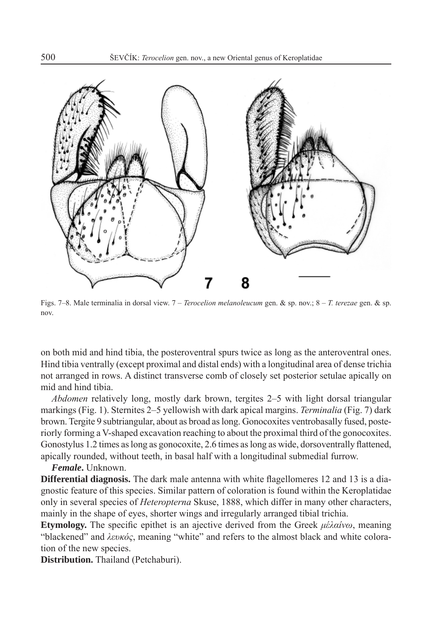

Figs. 7–8. Male terminalia in dorsal view. 7 – *Terocelion melanoleucum* gen. & sp. nov.; 8 – *T. terezae* gen. & sp. nov.

on both mid and hind tibia, the posteroventral spurs twice as long as the anteroventral ones. Hind tibia ventrally (except proximal and distal ends) with a longitudinal area of dense trichia not arranged in rows. A distinct transverse comb of closely set posterior setulae apically on mid and hind tibia.

*Abdomen* relatively long, mostly dark brown, tergites 2–5 with light dorsal triangular markings (Fig. 1). Sternites 2–5 yellowish with dark apical margins. *Terminalia* (Fig. 7) dark brown. Tergite 9 subtriangular, about as broad as long. Gonocoxites ventrobasally fused, posteriorly forming a V-shaped excavation reaching to about the proximal third of the gonocoxites. Gonostylus 1.2 times as long as gonocoxite, 2.6 times as long as wide, dorsoventrally flattened, apically rounded, without teeth, in basal half with a longitudinal submedial furrow.

*Female***.** Unknown.

**Differential diagnosis.** The dark male antenna with white flagellomeres 12 and 13 is a diagnostic feature of this species. Similar pattern of coloration is found within the Keroplatidae only in several species of *Heteropterna* Skuse, 1888, which differ in many other characters, mainly in the shape of eyes, shorter wings and irregularly arranged tibial trichia.

**Etymology.** The specific epithet is an ajective derived from the Greek *μέλαίνω*, meaning "blackened" and *λευκός*, meaning "white" and refers to the almost black and white coloration of the new species.

**Distribution.** Thailand (Petchaburi).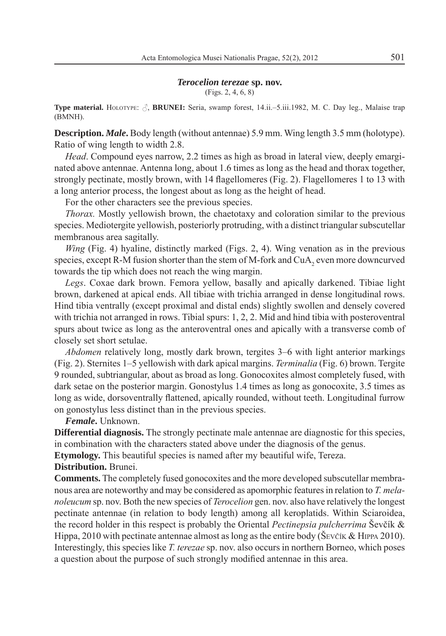#### *Terocelion terezae* **sp. nov.**

(Figs. 2, 4, 6, 8)

**Type material.** HOLOTYPE: *√*, **BRUNEI:** Seria, swamp forest, 14.ii.–5.iii.1982, M. C. Day leg., Malaise trap (BMNH).

**Description.** *Male***.** Body length (without antennae) 5.9 mm. Wing length 3.5 mm (holotype). Ratio of wing length to width 2.8.

*Head*. Compound eyes narrow, 2.2 times as high as broad in lateral view, deeply emarginated above antennae. Antenna long, about 1.6 times as long as the head and thorax together, strongly pectinate, mostly brown, with 14 flagellomeres (Fig. 2). Flagellomeres 1 to 13 with a long anterior process, the longest about as long as the height of head.

For the other characters see the previous species.

*Thorax.* Mostly yellowish brown, the chaetotaxy and coloration similar to the previous species. Mediotergite yellowish, posteriorly protruding, with a distinct triangular subscutellar membranous area sagitally.

*Wing* (Fig. 4) hyaline, distinctly marked (Figs. 2, 4). Wing venation as in the previous species, except R-M fusion shorter than the stem of M-fork and  $CuA<sub>2</sub>$  even more downcurved towards the tip which does not reach the wing margin.

*Legs*. Coxae dark brown. Femora yellow, basally and apically darkened. Tibiae light brown, darkened at apical ends. All tibiae with trichia arranged in dense longitudinal rows. Hind tibia ventrally (except proximal and distal ends) slightly swollen and densely covered with trichia not arranged in rows. Tibial spurs: 1, 2, 2. Mid and hind tibia with posteroventral spurs about twice as long as the anteroventral ones and apically with a transverse comb of closely set short setulae.

*Abdomen* relatively long, mostly dark brown, tergites 3–6 with light anterior markings (Fig. 2). Sternites 1–5 yellowish with dark apical margins. *Terminalia* (Fig. 6) brown. Tergite 9 rounded, subtriangular, about as broad as long. Gonocoxites almost completely fused, with dark setae on the posterior margin. Gonostylus 1.4 times as long as gonocoxite, 3.5 times as long as wide, dorsoventrally flattened, apically rounded, without teeth. Longitudinal furrow on gonostylus less distinct than in the previous species.

*Female***.** Unknown.

**Differential diagnosis.** The strongly pectinate male antennae are diagnostic for this species, in combination with the characters stated above under the diagnosis of the genus.

**Etymology.** This beautiful species is named after my beautiful wife, Tereza.

## **Distribution.** Brunei.

**Comments.** The completely fused gonocoxites and the more developed subscutellar membranous area are noteworthy and may be considered as apomorphic features in relation to *T. melanoleucum* sp. nov. Both the new species of *Terocelion* gen. nov. also have relatively the longest pectinate antennae (in relation to body length) among all keroplatids. Within Sciaroidea, the record holder in this respect is probably the Oriental *Pectinepsia pulcherrima* Ševčík & Hippa, 2010 with pectinate antennae almost as long as the entire body ( $\text{\textless}\,\textsc{E}$  EVČIK & HIPPA 2010). Interestingly, this species like *T. terezae* sp. nov. also occurs in northern Borneo, which poses a question about the purpose of such strongly modified antennae in this area.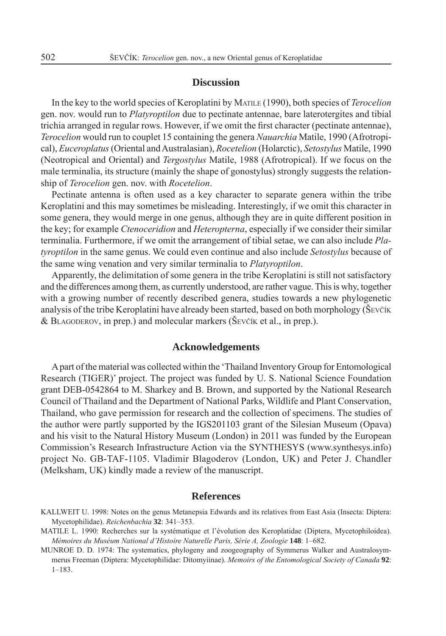#### **Discussion**

In the key to the world species of Keroplatini by MATILE (1990), both species of *Terocelion* gen. nov. would run to *Platyroptilon* due to pectinate antennae, bare laterotergites and tibial trichia arranged in regular rows. However, if we omit the first character (pectinate antennae), *Terocelion* would run to couplet 15 containing the genera *Nauarchia* Matile, 1990 (Afrotropical), *Euceroplatus* (Oriental and Australasian), *Rocetelion* (Holarctic), *Setostylus* Matile, 1990 (Neotropical and Oriental) and *Tergostylus* Matile, 1988 (Afrotropical). If we focus on the male terminalia, its structure (mainly the shape of gonostylus) strongly suggests the relationship of *Terocelion* gen. nov. with *Rocetelion*.

Pectinate antenna is often used as a key character to separate genera within the tribe Keroplatini and this may sometimes be misleading. Interestingly, if we omit this character in some genera, they would merge in one genus, although they are in quite different position in the key; for example *Ctenoceridion* and *Heteropterna*, especially if we consider their similar terminalia. Furthermore, if we omit the arrangement of tibial setae, we can also include *Platyroptilon* in the same genus. We could even continue and also include *Setostylus* because of the same wing venation and very similar terminalia to *Platyroptilon*.

Apparently, the delimitation of some genera in the tribe Keroplatini is still not satisfactory and the differences among them, as currently understood, are rather vague. This is why, together with a growing number of recently described genera, studies towards a new phylogenetic analysis of the tribe Keroplatini have already been started, based on both morphology (ŠEVČÍK & BLAGODEROV, in prep.) and molecular markers (ŠEVČÍK et al., in prep.).

#### **Acknowledgements**

A part of the material was collected within the 'Thailand Inventory Group for Entomological Research (TIGER)' project. The project was funded by U. S. National Science Foundation grant DEB-0542864 to M. Sharkey and B. Brown, and supported by the National Research Council of Thailand and the Department of National Parks, Wildlife and Plant Conservation, Thailand, who gave permission for research and the collection of specimens. The studies of the author were partly supported by the IGS201103 grant of the Silesian Museum (Opava) and his visit to the Natural History Museum (London) in 2011 was funded by the European Commission's Research Infrastructure Action via the SYNTHESYS (www.synthesys.info) project No. GB-TAF-1105. Vladimir Blagoderov (London, UK) and Peter J. Chandler (Melksham, UK) kindly made a review of the manuscript.

## **References**

- KALLWEIT U. 1998: Notes on the genus Metanepsia Edwards and its relatives from East Asia (Insecta: Diptera: Mycetophilidae). *Reichenbachia* **32**: 341–353.
- MATILE L. 1990: Recherches sur la systématique et l'évolution des Keroplatidae (Diptera, Mycetophiloidea). *Mémoires du Muséum National d'Histoire Naturelle Paris, Série A, Zoologie* **148**: 1–682.
- MUNROE D. D. 1974: The systematics, phylogeny and zoogeography of Symmerus Walker and Australosymmerus Freeman (Diptera: Mycetophilidae: Ditomyiinae). *Memoirs of the Entomological Society of Canada* **92**: 1–183.